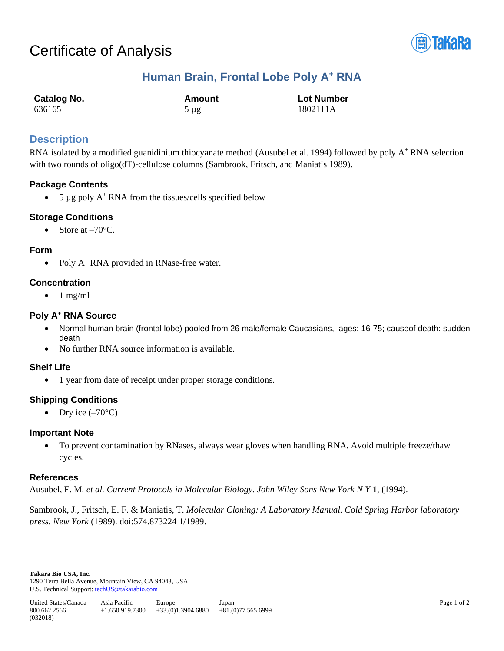

# **Human Brain, Frontal Lobe Poly A<sup>+</sup> RNA**

| <b>Catalog No.</b> | Amount    | <b>Lot Number</b> |
|--------------------|-----------|-------------------|
| 636165             | $5 \mu g$ | 1802111A          |

## **Description**

RNA isolated by a modified guanidinium thiocyanate method (Ausubel et al. 1994) followed by poly A<sup>+</sup> RNA selection with two rounds of oligo(dT)-cellulose columns (Sambrook, Fritsch, and Maniatis 1989).

## **Package Contents**

• 5  $\mu$ g poly A<sup>+</sup> RNA from the tissues/cells specified below

#### **Storage Conditions**

Store at  $-70^{\circ}$ C.

#### **Form**

• Poly  $A^+$  RNA provided in RNase-free water.

#### **Concentration**

 $\bullet$  1 mg/ml

#### **Poly A<sup>+</sup> RNA Source**

- Normal human brain (frontal lobe) pooled from 26 male/female Caucasians, ages: 16-75; causeof death: sudden death
- No further RNA source information is available.

#### **Shelf Life**

• 1 year from date of receipt under proper storage conditions.

## **Shipping Conditions**

• Dry ice  $(-70^{\circ}C)$ 

#### **Important Note**

• To prevent contamination by RNases, always wear gloves when handling RNA. Avoid multiple freeze/thaw cycles.

#### **References**

Ausubel, F. M. *et al. Current Protocols in Molecular Biology. John Wiley Sons New York N Y* **1**, (1994).

Sambrook, J., Fritsch, E. F. & Maniatis, T. *Molecular Cloning: A Laboratory Manual. Cold Spring Harbor laboratory press. New York* (1989). doi:574.873224 1/1989.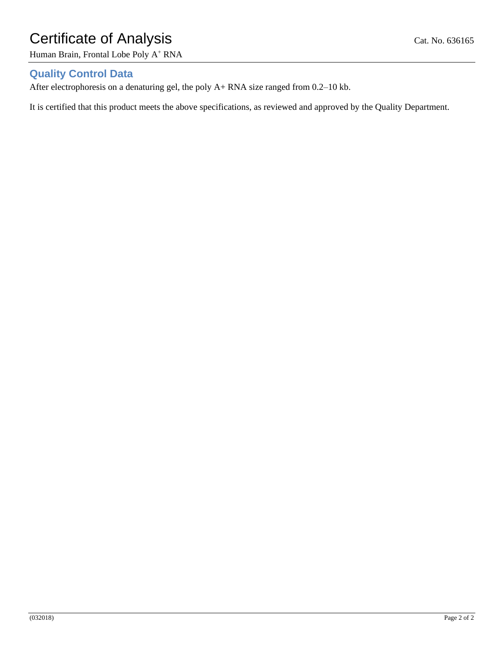# Certificate of Analysis Cat. No. 636165

Human Brain, Frontal Lobe Poly A<sup>+</sup> RNA

## **Quality Control Data**

After electrophoresis on a denaturing gel, the poly A+ RNA size ranged from 0.2–10 kb.

It is certified that this product meets the above specifications, as reviewed and approved by the Quality Department.